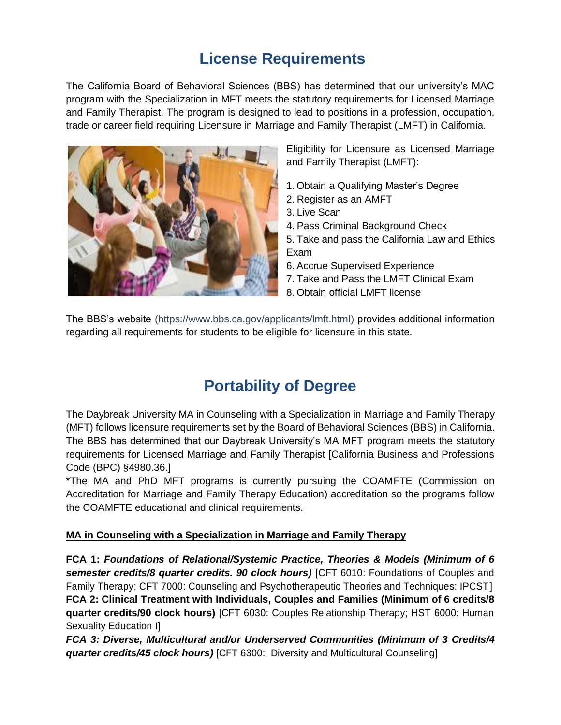## **License Requirements**

The California Board of Behavioral Sciences (BBS) has determined that our university's MAC program with the Specialization in MFT meets the statutory requirements for Licensed Marriage and Family Therapist. The program is designed to lead to positions in a profession, occupation, trade or career field requiring Licensure in Marriage and Family Therapist (LMFT) in California.



Eligibility for Licensure as Licensed Marriage and Family Therapist (LMFT):

- 1. Obtain a Qualifying Master's Degree
- 2. Register as an AMFT
- 3. Live Scan
- 4. Pass Criminal Background Check
- 5. Take and pass the California Law and Ethics Exam
- 6. Accrue Supervised Experience
- 7. Take and Pass the LMFT Clinical Exam
- 8. Obtain official LMFT license

The BBS's website [\(https://www.bbs.ca.gov/applicants/lmft.html\)](https://www.bbs.ca.gov/applicants/lmft.html) provides additional information regarding all requirements for students to be eligible for licensure in this state.

## **Portability of Degree**

The Daybreak University MA in Counseling with a Specialization in Marriage and Family Therapy (MFT) follows licensure requirements set by the Board of Behavioral Sciences (BBS) in California. The BBS has determined that our Daybreak University's MA MFT program meets the statutory requirements for Licensed Marriage and Family Therapist [California Business and Professions Code (BPC) §4980.36.]

\*The MA and PhD MFT programs is currently pursuing the COAMFTE (Commission on Accreditation for Marriage and Family Therapy Education) accreditation so the programs follow the COAMFTE educational and clinical requirements.

## **MA in Counseling with a Specialization in Marriage and Family Therapy**

**FCA 1:** *Foundations of Relational/Systemic Practice, Theories & Models (Minimum of 6 semester credits/8 quarter credits. 90 clock hours)* [CFT 6010: Foundations of Couples and Family Therapy; CFT 7000: Counseling and Psychotherapeutic Theories and Techniques: IPCST] **FCA 2: Clinical Treatment with Individuals, Couples and Families (Minimum of 6 credits/8 quarter credits/90 clock hours)** [CFT 6030: Couples Relationship Therapy; HST 6000: Human Sexuality Education I]

*FCA 3: Diverse, Multicultural and/or Underserved Communities (Minimum of 3 Credits/4 quarter credits/45 clock hours)* [CFT 6300: Diversity and Multicultural Counseling]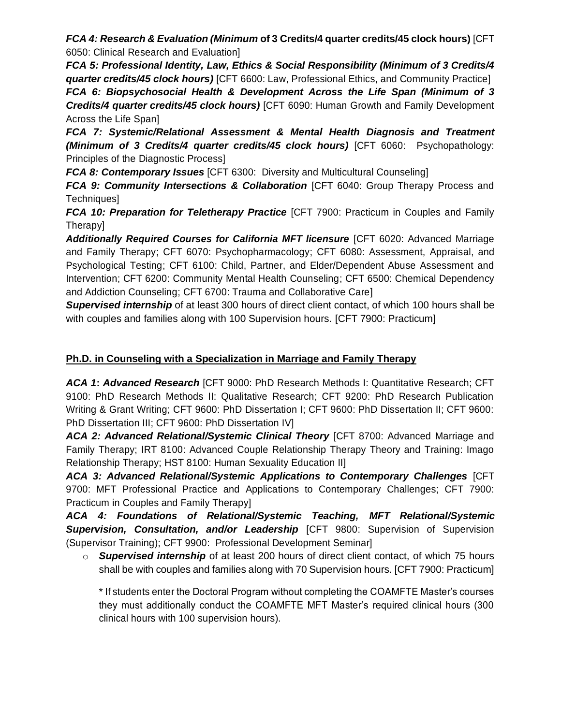*FCA 4: Research & Evaluation (Minimum* **of 3 Credits/4 quarter credits/45 clock hours)** [CFT 6050: Clinical Research and Evaluation]

*FCA 5: Professional Identity, Law, Ethics & Social Responsibility (Minimum of 3 Credits/4 quarter credits/45 clock hours)* [CFT 6600: Law, Professional Ethics, and Community Practice] *FCA 6: Biopsychosocial Health & Development Across the Life Span (Minimum of 3* 

*Credits/4 quarter credits/45 clock hours)* [CFT 6090: Human Growth and Family Development Across the Life Span]

*FCA 7: Systemic/Relational Assessment & Mental Health Diagnosis and Treatment (Minimum of 3 Credits/4 quarter credits/45 clock hours)* [CFT 6060: Psychopathology: Principles of the Diagnostic Process]

*FCA 8: Contemporary Issues* [CFT 6300: Diversity and Multicultural Counseling]

*FCA 9: Community Intersections & Collaboration* [CFT 6040: Group Therapy Process and Techniques]

*FCA 10: Preparation for Teletherapy Practice* [CFT 7900: Practicum in Couples and Family Therapy]

*Additionally Required Courses for California MFT licensure* [CFT 6020: Advanced Marriage and Family Therapy; CFT 6070: Psychopharmacology; CFT 6080: Assessment, Appraisal, and Psychological Testing; CFT 6100: Child, Partner, and Elder/Dependent Abuse Assessment and Intervention; CFT 6200: Community Mental Health Counseling; CFT 6500: Chemical Dependency and Addiction Counseling; CFT 6700: Trauma and Collaborative Care]

*Supervised internship* of at least 300 hours of direct client contact, of which 100 hours shall be with couples and families along with 100 Supervision hours. [CFT 7900: Practicum]

## **Ph.D. in Counseling with a Specialization in Marriage and Family Therapy**

ACA 1: Advanced Research [CFT 9000: PhD Research Methods I: Quantitative Research; CFT 9100: PhD Research Methods II: Qualitative Research; CFT 9200: PhD Research Publication Writing & Grant Writing; CFT 9600: PhD Dissertation I; CFT 9600: PhD Dissertation II; CFT 9600: PhD Dissertation III; CFT 9600: PhD Dissertation IV]

ACA 2: Advanced Relational/Systemic Clinical Theory [CFT 8700: Advanced Marriage and Family Therapy; IRT 8100: Advanced Couple Relationship Therapy Theory and Training: Imago Relationship Therapy; HST 8100: Human Sexuality Education II]

*ACA 3: Advanced Relational/Systemic Applications to Contemporary Challenges* [CFT 9700: MFT Professional Practice and Applications to Contemporary Challenges; CFT 7900: Practicum in Couples and Family Therapy]

*ACA 4: Foundations of Relational/Systemic Teaching, MFT Relational/Systemic Supervision, Consultation, and/or Leadership* [CFT 9800: Supervision of Supervision (Supervisor Training); CFT 9900: Professional Development Seminar]

o *Supervised internship* of at least 200 hours of direct client contact, of which 75 hours shall be with couples and families along with 70 Supervision hours. [CFT 7900: Practicum]

\* If students enter the Doctoral Program without completing the COAMFTE Master's courses they must additionally conduct the COAMFTE MFT Master's required clinical hours (300 clinical hours with 100 supervision hours).